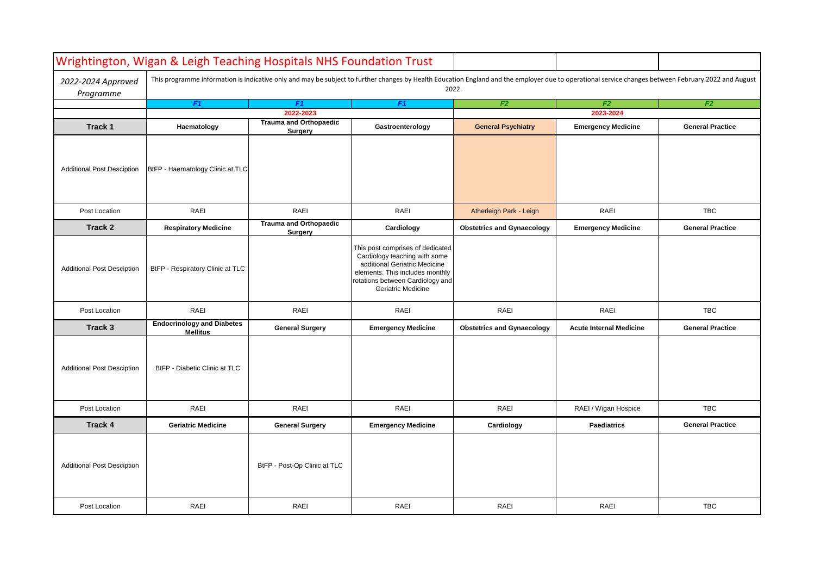|                                   | Wrightington, Wigan & Leigh Teaching Hospitals NHS Foundation Trust                                                                                                                                           |                                          |                                                                                                                                                                                                 |                                   |                                |                         |  |  |
|-----------------------------------|---------------------------------------------------------------------------------------------------------------------------------------------------------------------------------------------------------------|------------------------------------------|-------------------------------------------------------------------------------------------------------------------------------------------------------------------------------------------------|-----------------------------------|--------------------------------|-------------------------|--|--|
| 2022-2024 Approved<br>Programme   | This programme information is indicative only and may be subject to further changes by Health Education England and the employer due to operational service changes between February 2022 and August<br>2022. |                                          |                                                                                                                                                                                                 |                                   |                                |                         |  |  |
|                                   | F <sub>1</sub>                                                                                                                                                                                                | F <sub>1</sub>                           | F <sub>1</sub>                                                                                                                                                                                  | F <sub>2</sub>                    | F <sub>2</sub>                 | F2                      |  |  |
|                                   | 2022-2023                                                                                                                                                                                                     |                                          |                                                                                                                                                                                                 |                                   | 2023-2024                      |                         |  |  |
| Track 1                           | Haematology                                                                                                                                                                                                   | <b>Trauma and Orthopaedic</b><br>Surgery | Gastroenterology                                                                                                                                                                                | <b>General Psychiatry</b>         | <b>Emergency Medicine</b>      | <b>General Practice</b> |  |  |
| <b>Additional Post Desciption</b> | BtFP - Haematology Clinic at TLC                                                                                                                                                                              |                                          |                                                                                                                                                                                                 |                                   |                                |                         |  |  |
| Post Location                     | <b>RAEI</b>                                                                                                                                                                                                   | RAEI                                     | RAEI                                                                                                                                                                                            | Atherleigh Park - Leigh           | RAEI                           | <b>TBC</b>              |  |  |
| Track 2                           | <b>Respiratory Medicine</b>                                                                                                                                                                                   | <b>Trauma and Orthopaedic</b><br>Surgery | Cardiology                                                                                                                                                                                      | <b>Obstetrics and Gynaecology</b> | <b>Emergency Medicine</b>      | <b>General Practice</b> |  |  |
| <b>Additional Post Desciption</b> | BtFP - Respiratory Clinic at TLC                                                                                                                                                                              |                                          | This post comprises of dedicated<br>Cardiology teaching with some<br>additional Geriatric Medicine<br>elements. This includes monthly<br>rotations between Cardiology and<br>Geriatric Medicine |                                   |                                |                         |  |  |
| Post Location                     | <b>RAEI</b>                                                                                                                                                                                                   | RAEI                                     | RAEI                                                                                                                                                                                            | RAEI                              | RAEI                           | <b>TBC</b>              |  |  |
| Track 3                           | <b>Endocrinology and Diabetes</b><br><b>Mellitus</b>                                                                                                                                                          | <b>General Surgery</b>                   | <b>Emergency Medicine</b>                                                                                                                                                                       | <b>Obstetrics and Gynaecology</b> | <b>Acute Internal Medicine</b> | <b>General Practice</b> |  |  |
| <b>Additional Post Desciption</b> | BtFP - Diabetic Clinic at TLC                                                                                                                                                                                 |                                          |                                                                                                                                                                                                 |                                   |                                |                         |  |  |
| Post Location                     | <b>RAEI</b>                                                                                                                                                                                                   | RAEI                                     | RAEI                                                                                                                                                                                            | RAEI                              | RAEI / Wigan Hospice           | <b>TBC</b>              |  |  |
| Track 4                           | <b>Geriatric Medicine</b>                                                                                                                                                                                     | <b>General Surgery</b>                   | <b>Emergency Medicine</b>                                                                                                                                                                       | Cardiology                        | <b>Paediatrics</b>             | <b>General Practice</b> |  |  |
| <b>Additional Post Desciption</b> |                                                                                                                                                                                                               | BtFP - Post-Op Clinic at TLC             |                                                                                                                                                                                                 |                                   |                                |                         |  |  |
| Post Location                     | <b>RAEI</b>                                                                                                                                                                                                   | RAEI                                     | RAEI                                                                                                                                                                                            | RAEI                              | RAEI                           | <b>TBC</b>              |  |  |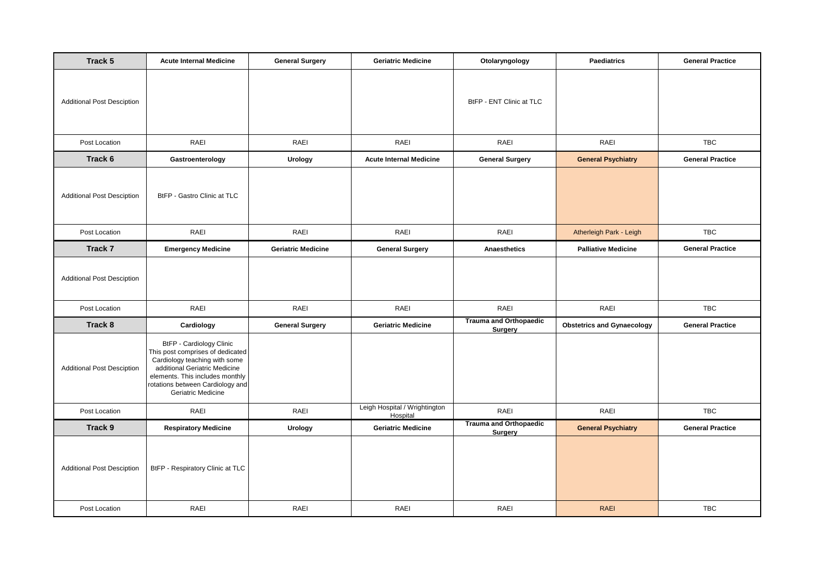| Track 5                           | <b>Acute Internal Medicine</b>                                                                                                                                                                                              | <b>General Surgery</b>    | <b>Geriatric Medicine</b>                 | Otolaryngology                           | <b>Paediatrics</b>                | <b>General Practice</b> |
|-----------------------------------|-----------------------------------------------------------------------------------------------------------------------------------------------------------------------------------------------------------------------------|---------------------------|-------------------------------------------|------------------------------------------|-----------------------------------|-------------------------|
| <b>Additional Post Desciption</b> |                                                                                                                                                                                                                             |                           |                                           | BtFP - ENT Clinic at TLC                 |                                   |                         |
| Post Location                     | RAEI                                                                                                                                                                                                                        | RAEI                      | RAEI                                      | RAEI                                     | RAEI                              | <b>TBC</b>              |
| Track 6                           | Gastroenterology                                                                                                                                                                                                            | <b>Urology</b>            | <b>Acute Internal Medicine</b>            | <b>General Surgery</b>                   | <b>General Psychiatry</b>         | <b>General Practice</b> |
| <b>Additional Post Desciption</b> | BtFP - Gastro Clinic at TLC                                                                                                                                                                                                 |                           |                                           |                                          |                                   |                         |
| Post Location                     | RAEI                                                                                                                                                                                                                        | RAEI                      | RAEI                                      | RAEI                                     | Atherleigh Park - Leigh           | <b>TBC</b>              |
| Track 7                           | <b>Emergency Medicine</b>                                                                                                                                                                                                   | <b>Geriatric Medicine</b> | <b>General Surgery</b>                    | <b>Anaesthetics</b>                      | <b>Palliative Medicine</b>        | <b>General Practice</b> |
| <b>Additional Post Desciption</b> |                                                                                                                                                                                                                             |                           |                                           |                                          |                                   |                         |
| Post Location                     | RAEI                                                                                                                                                                                                                        | RAEI                      | RAEI                                      | RAEI                                     | RAEI                              | <b>TBC</b>              |
| Track 8                           | Cardiology                                                                                                                                                                                                                  | <b>General Surgery</b>    | <b>Geriatric Medicine</b>                 | <b>Trauma and Orthopaedic</b><br>Surgery | <b>Obstetrics and Gynaecology</b> | <b>General Practice</b> |
| <b>Additional Post Desciption</b> | BtFP - Cardiology Clinic<br>This post comprises of dedicated<br>Cardiology teaching with some<br>additional Geriatric Medicine<br>elements. This includes monthly<br>rotations between Cardiology and<br>Geriatric Medicine |                           |                                           |                                          |                                   |                         |
| Post Location                     | RAEI                                                                                                                                                                                                                        | RAEI                      | Leigh Hospital / Wrightington<br>Hospital | RAEI                                     | RAEI                              | <b>TBC</b>              |
| Track 9                           | <b>Respiratory Medicine</b>                                                                                                                                                                                                 | <b>Urology</b>            | <b>Geriatric Medicine</b>                 | <b>Trauma and Orthopaedic</b><br>Surgery | <b>General Psychiatry</b>         | <b>General Practice</b> |
| <b>Additional Post Desciption</b> | BtFP - Respiratory Clinic at TLC                                                                                                                                                                                            |                           |                                           |                                          |                                   |                         |
| Post Location                     | RAEI                                                                                                                                                                                                                        | <b>RAEI</b>               | RAEI                                      | RAEI                                     | <b>RAEI</b>                       | <b>TBC</b>              |